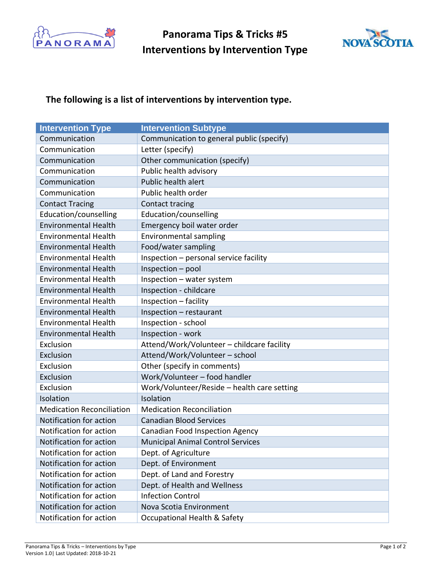

**Panorama Tips & Tricks #5 Interventions by Intervention Type**



## **The following is a list of interventions by intervention type.**

| <b>Intervention Type</b>         | <b>Intervention Subtype</b>                 |
|----------------------------------|---------------------------------------------|
| Communication                    | Communication to general public (specify)   |
| Communication                    | Letter (specify)                            |
| Communication                    | Other communication (specify)               |
| Communication                    | Public health advisory                      |
| Communication                    | Public health alert                         |
| Communication                    | Public health order                         |
| <b>Contact Tracing</b>           | Contact tracing                             |
| Education/counselling            | Education/counselling                       |
| <b>Environmental Health</b>      | Emergency boil water order                  |
| <b>Environmental Health</b>      | <b>Environmental sampling</b>               |
| <b>Environmental Health</b>      | Food/water sampling                         |
| <b>Environmental Health</b>      | Inspection - personal service facility      |
| <b>Environmental Health</b>      | Inspection - pool                           |
| <b>Environmental Health</b>      | Inspection - water system                   |
| <b>Environmental Health</b>      | Inspection - childcare                      |
| <b>Environmental Health</b>      | Inspection - facility                       |
| <b>Environmental Health</b>      | Inspection - restaurant                     |
| <b>Environmental Health</b>      | Inspection - school                         |
| <b>Environmental Health</b>      | Inspection - work                           |
| Exclusion                        | Attend/Work/Volunteer - childcare facility  |
| Exclusion                        | Attend/Work/Volunteer - school              |
| Exclusion                        | Other (specify in comments)                 |
| Exclusion                        | Work/Volunteer - food handler               |
| Exclusion                        | Work/Volunteer/Reside - health care setting |
| Isolation                        | Isolation                                   |
| <b>Medication Reconciliation</b> | <b>Medication Reconciliation</b>            |
| Notification for action          | <b>Canadian Blood Services</b>              |
| Notification for action          | <b>Canadian Food Inspection Agency</b>      |
| Notification for action          | <b>Municipal Animal Control Services</b>    |
| Notification for action          | Dept. of Agriculture                        |
| Notification for action          | Dept. of Environment                        |
| Notification for action          | Dept. of Land and Forestry                  |
| Notification for action          | Dept. of Health and Wellness                |
| Notification for action          | <b>Infection Control</b>                    |
| Notification for action          | Nova Scotia Environment                     |
| Notification for action          | Occupational Health & Safety                |